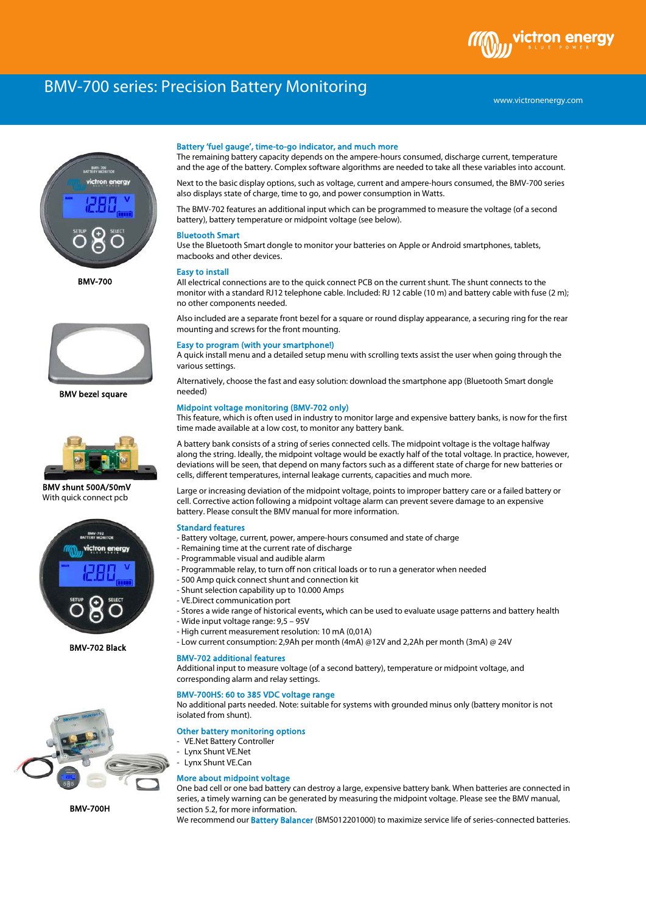# BMV-700 series: Precision Battery Monitoring



BMV-700



BMV bezel square



 BMV shunt 500A/50mV With quick connect pcb



BMV-702 Black



BMV-700H

## Battery 'fuel gauge', time-to-go indicator, and much more

The remaining battery capacity depends on the ampere-hours consumed, discharge current, temperature and the age of the battery. Complex software algorithms are needed to take all these variables into account.

Next to the basic display options, such as voltage, current and ampere-hours consumed, the BMV-700 series also displays state of charge, time to go, and power consumption in Watts.

The BMV-702 features an additional input which can be programmed to measure the voltage (of a second battery), battery temperature or midpoint voltage (see below).

# Bluetooth Smart

Use the Bluetooth Smart dongle to monitor your batteries on Apple or Android smartphones, tablets, macbooks and other devices.

#### Easy to install

All electrical connections are to the quick connect PCB on the current shunt. The shunt connects to the monitor with a standard RJ12 telephone cable. Included: RJ 12 cable (10 m) and battery cable with fuse (2 m); no other components needed.

Also included are a separate front bezel for a square or round display appearance, a securing ring for the rear mounting and screws for the front mounting.

### Easy to program (with your smartphone!)

A quick install menu and a detailed setup menu with scrolling texts assist the user when going through the various settings.

Alternatively, choose the fast and easy solution: download the smartphone app (Bluetooth Smart dongle needed)

# Midpoint voltage monitoring (BMV-702 only)

This feature, which is often used in industry to monitor large and expensive battery banks, is now for the first time made available at a low cost, to monitor any battery bank.

A battery bank consists of a string of series connected cells. The midpoint voltage is the voltage halfway along the string. Ideally, the midpoint voltage would be exactly half of the total voltage. In practice, however, deviations will be seen, that depend on many factors such as a different state of charge for new batteries or cells, different temperatures, internal leakage currents, capacities and much more.

Large or increasing deviation of the midpoint voltage, points to improper battery care or a failed battery or cell. Corrective action following a midpoint voltage alarm can prevent severe damage to an expensive battery. Please consult the BMV manual for more information.

## Standard features

- Battery voltage, current, power, ampere-hours consumed and state of charge
- Remaining time at the current rate of discharge
- Programmable visual and audible alarm
- Programmable relay, to turn off non critical loads or to run a generator when needed
- 500 Amp quick connect shunt and connection kit
- Shunt selection capability up to 10.000 Amps
- VE.Direct communication port
- Stores a wide range of historical events, which can be used to evaluate usage patterns and battery health
- Wide input voltage range: 9,5 95V
- High current measurement resolution: 10 mA (0,01A)
- Low current consumption: 2,9Ah per month (4mA) @12V and 2,2Ah per month (3mA) @ 24V

## BMV-702 additional features

Additional input to measure voltage (of a second battery), temperature or midpoint voltage, and corresponding alarm and relay settings.

# BMV-700HS: 60 to 385 VDC voltage range

No additional parts needed. Note: suitable for systems with grounded minus only (battery monitor is not isolated from shunt).

# Other battery monitoring options

- VE.Net Battery Controller
- Lynx Shunt VE.Net
- Lynx Shunt VE.Can

# More about midpoint voltage

One bad cell or one bad battery can destroy a large, expensive battery bank. When batteries are connected in series, a timely warning can be generated by measuring the midpoint voltage. Please see the BMV manual, section 5.2, for more information.

We recommend our **Battery Balancer** (BMS012201000) to maximize service life of series-connected batteries.